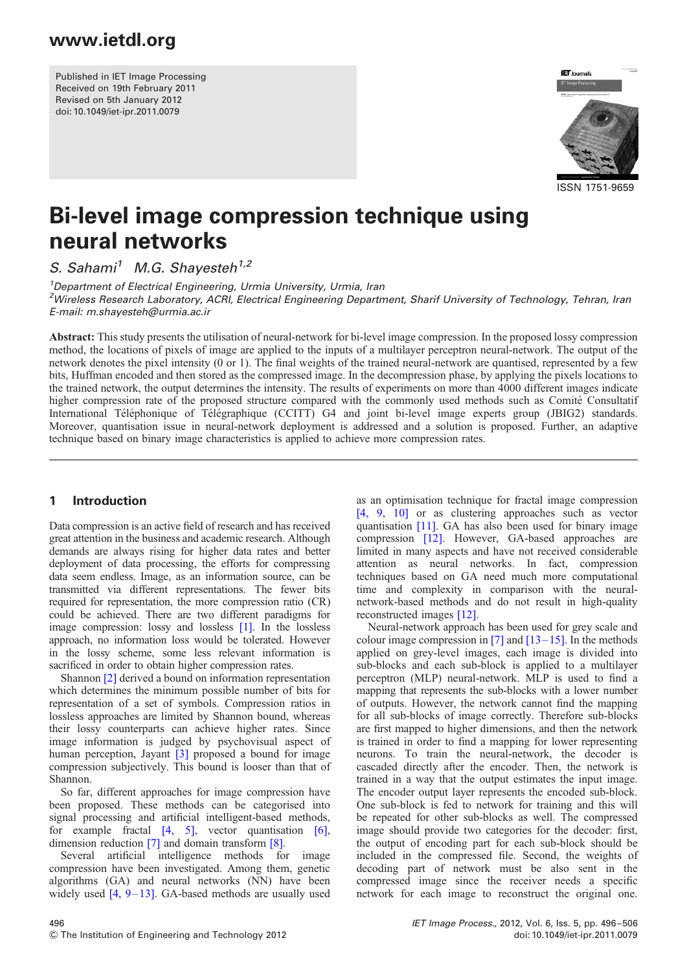Published in IET Image Processing Received on 19th February 2011 Revised on 5th January 2012 doi: 10.1049/iet-ipr.2011.0079



ISSN 1751-9659

# Bi-level image compression technique using neural networks

S. Sahami<sup>1</sup> M.G. Shayesteh<sup>1,2</sup>

<sup>1</sup>Department of Electrical Engineering, Urmia University, Urmia, Iran <sup>2</sup>Wireless Research Laboratory, ACRI, Electrical Engineering Department, Sharif University of Technology, Tehran, Iran E-mail: m.shayesteh@urmia.ac.ir

Abstract: This study presents the utilisation of neural-network for bi-level image compression. In the proposed lossy compression method, the locations of pixels of image are applied to the inputs of a multilayer perceptron neural-network. The output of the network denotes the pixel intensity (0 or 1). The final weights of the trained neural-network are quantised, represented by a few bits, Huffman encoded and then stored as the compressed image. In the decompression phase, by applying the pixels locations to the trained network, the output determines the intensity. The results of experiments on more than 4000 different images indicate higher compression rate of the proposed structure compared with the commonly used methods such as Comité Consultatif International Téléphonique of Télégraphique (CCITT) G4 and joint bi-level image experts group (JBIG2) standards. Moreover, quantisation issue in neural-network deployment is addressed and a solution is proposed. Further, an adaptive technique based on binary image characteristics is applied to achieve more compression rates.

### 1 Introduction

Data compression is an active field of research and has received great attention in the business and academic research. Although demands are always rising for higher data rates and better deployment of data processing, the efforts for compressing data seem endless. Image, as an information source, can be transmitted via different representations. The fewer bits required for representation, the more compression ratio (CR) could be achieved. There are two different paradigms for image compression: lossy and lossless [1]. In the lossless approach, no information loss would be tolerated. However in the lossy scheme, some less relevant information is sacrificed in order to obtain higher compression rates.

Shannon [2] derived a bound on information representation which determines the minimum possible number of bits for representation of a set of symbols. Compression ratios in lossless approaches are limited by Shannon bound, whereas their lossy counterparts can achieve higher rates. Since image information is judged by psychovisual aspect of human perception, Jayant [3] proposed a bound for image compression subjectively. This bound is looser than that of Shannon.

So far, different approaches for image compression have been proposed. These methods can be categorised into signal processing and artificial intelligent-based methods, for example fractal [4, 5], vector quantisation [6], dimension reduction [7] and domain transform [8].

Several artificial intelligence methods for image compression have been investigated. Among them, genetic algorithms (GA) and neural networks (NN) have been widely used  $[4, 9-13]$ . GA-based methods are usually used

as an optimisation technique for fractal image compression [4, 9, 10] or as clustering approaches such as vector quantisation [11]. GA has also been used for binary image compression [12]. However, GA-based approaches are limited in many aspects and have not received considerable attention as neural networks. In fact, compression techniques based on GA need much more computational time and complexity in comparison with the neuralnetwork-based methods and do not result in high-quality reconstructed images [12].

Neural-network approach has been used for grey scale and colour image compression in [7] and  $[13-15]$ . In the methods applied on grey-level images, each image is divided into sub-blocks and each sub-block is applied to a multilayer perceptron (MLP) neural-network. MLP is used to find a mapping that represents the sub-blocks with a lower number of outputs. However, the network cannot find the mapping for all sub-blocks of image correctly. Therefore sub-blocks are first mapped to higher dimensions, and then the network is trained in order to find a mapping for lower representing neurons. To train the neural-network, the decoder is cascaded directly after the encoder. Then, the network is trained in a way that the output estimates the input image. The encoder output layer represents the encoded sub-block. One sub-block is fed to network for training and this will be repeated for other sub-blocks as well. The compressed image should provide two categories for the decoder: first, the output of encoding part for each sub-block should be included in the compressed file. Second, the weights of decoding part of network must be also sent in the compressed image since the receiver needs a specific network for each image to reconstruct the original one.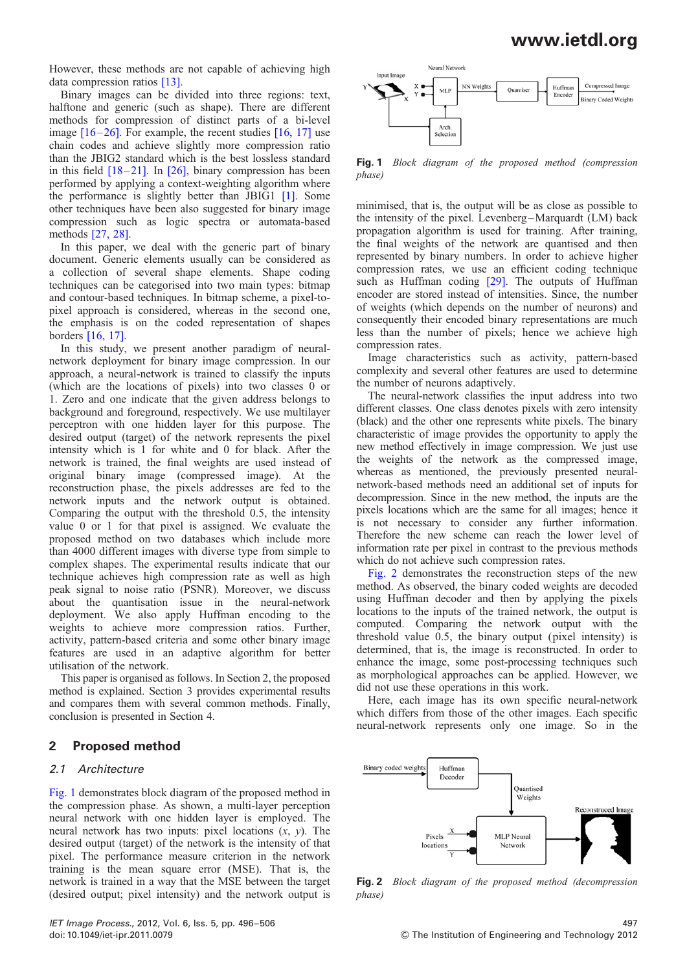However, these methods are not capable of achieving high data compression ratios [13].

Binary images can be divided into three regions: text, halftone and generic (such as shape). There are different methods for compression of distinct parts of a bi-level image  $[16-26]$ . For example, the recent studies  $[16, 17]$  use chain codes and achieve slightly more compression ratio than the JBIG2 standard which is the best lossless standard in this field  $[18-21]$ . In  $[26]$ , binary compression has been performed by applying a context-weighting algorithm where the performance is slightly better than JBIG1 [1]. Some other techniques have been also suggested for binary image compression such as logic spectra or automata-based methods [27, 28].

In this paper, we deal with the generic part of binary document. Generic elements usually can be considered as a collection of several shape elements. Shape coding techniques can be categorised into two main types: bitmap and contour-based techniques. In bitmap scheme, a pixel-topixel approach is considered, whereas in the second one, the emphasis is on the coded representation of shapes borders [16, 17].

In this study, we present another paradigm of neuralnetwork deployment for binary image compression. In our approach, a neural-network is trained to classify the inputs (which are the locations of pixels) into two classes  $\hat{0}$  or 1. Zero and one indicate that the given address belongs to background and foreground, respectively. We use multilayer perceptron with one hidden layer for this purpose. The desired output (target) of the network represents the pixel intensity which is 1 for white and 0 for black. After the network is trained, the final weights are used instead of original binary image (compressed image). At the reconstruction phase, the pixels addresses are fed to the network inputs and the network output is obtained. Comparing the output with the threshold 0.5, the intensity value 0 or 1 for that pixel is assigned. We evaluate the proposed method on two databases which include more than 4000 different images with diverse type from simple to complex shapes. The experimental results indicate that our technique achieves high compression rate as well as high peak signal to noise ratio (PSNR). Moreover, we discuss about the quantisation issue in the neural-network deployment. We also apply Huffman encoding to the weights to achieve more compression ratios. Further, activity, pattern-based criteria and some other binary image features are used in an adaptive algorithm for better utilisation of the network.

This paper is organised as follows. In Section 2, the proposed method is explained. Section 3 provides experimental results and compares them with several common methods. Finally, conclusion is presented in Section 4.

### 2 Proposed method

### 2.1 Architecture

Fig. 1 demonstrates block diagram of the proposed method in the compression phase. As shown, a multi-layer perception neural network with one hidden layer is employed. The neural network has two inputs: pixel locations  $(x, y)$ . The desired output (target) of the network is the intensity of that pixel. The performance measure criterion in the network training is the mean square error (MSE). That is, the network is trained in a way that the MSE between the target (desired output; pixel intensity) and the network output is



Fig. 1 Block diagram of the proposed method (compression phase)

minimised, that is, the output will be as close as possible to the intensity of the pixel. Levenberg –Marquardt (LM) back propagation algorithm is used for training. After training, the final weights of the network are quantised and then represented by binary numbers. In order to achieve higher compression rates, we use an efficient coding technique such as Huffman coding [29]. The outputs of Huffman encoder are stored instead of intensities. Since, the number of weights (which depends on the number of neurons) and consequently their encoded binary representations are much less than the number of pixels; hence we achieve high compression rates.

Image characteristics such as activity, pattern-based complexity and several other features are used to determine the number of neurons adaptively.

The neural-network classifies the input address into two different classes. One class denotes pixels with zero intensity (black) and the other one represents white pixels. The binary characteristic of image provides the opportunity to apply the new method effectively in image compression. We just use the weights of the network as the compressed image, whereas as mentioned, the previously presented neuralnetwork-based methods need an additional set of inputs for decompression. Since in the new method, the inputs are the pixels locations which are the same for all images; hence it is not necessary to consider any further information. Therefore the new scheme can reach the lower level of information rate per pixel in contrast to the previous methods which do not achieve such compression rates.

Fig. 2 demonstrates the reconstruction steps of the new method. As observed, the binary coded weights are decoded using Huffman decoder and then by applying the pixels locations to the inputs of the trained network, the output is computed. Comparing the network output with the threshold value 0.5, the binary output (pixel intensity) is determined, that is, the image is reconstructed. In order to enhance the image, some post-processing techniques such as morphological approaches can be applied. However, we did not use these operations in this work.

Here, each image has its own specific neural-network which differs from those of the other images. Each specific neural-network represents only one image. So in the



Fig. 2 Block diagram of the proposed method (decompression phase)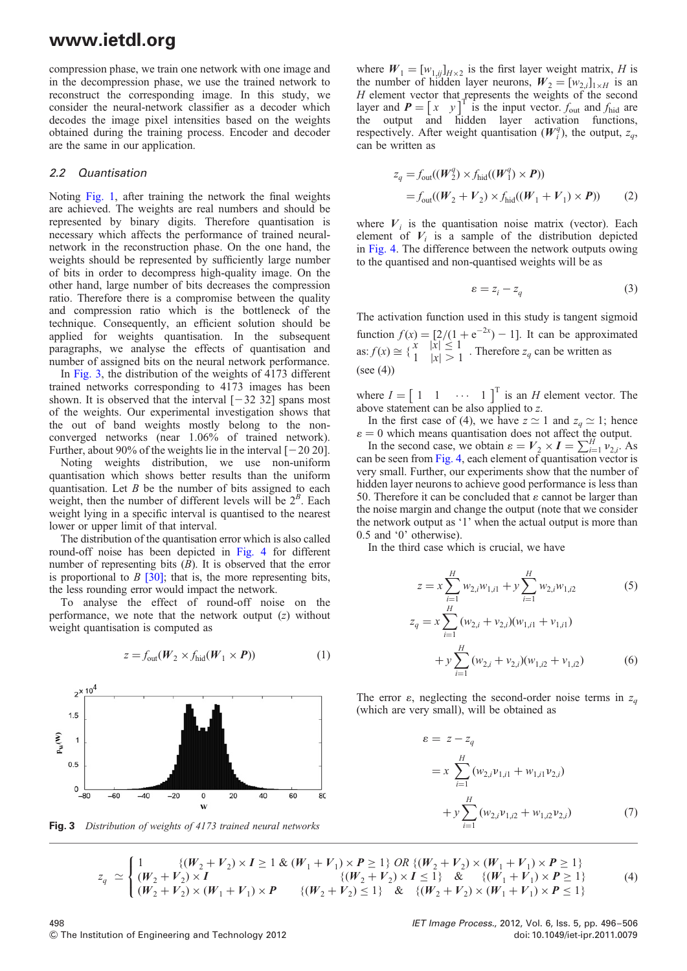compression phase, we train one network with one image and in the decompression phase, we use the trained network to reconstruct the corresponding image. In this study, we consider the neural-network classifier as a decoder which decodes the image pixel intensities based on the weights obtained during the training process. Encoder and decoder are the same in our application.

#### 2.2 Quantisation

Noting Fig. 1, after training the network the final weights are achieved. The weights are real numbers and should be represented by binary digits. Therefore quantisation is necessary which affects the performance of trained neuralnetwork in the reconstruction phase. On the one hand, the weights should be represented by sufficiently large number of bits in order to decompress high-quality image. On the other hand, large number of bits decreases the compression ratio. Therefore there is a compromise between the quality and compression ratio which is the bottleneck of the technique. Consequently, an efficient solution should be applied for weights quantisation. In the subsequent paragraphs, we analyse the effects of quantisation and number of assigned bits on the neural network performance.

In Fig. 3, the distribution of the weights of 4173 different trained networks corresponding to 4173 images has been shown. It is observed that the interval  $[-32, 32]$  spans most of the weights. Our experimental investigation shows that the out of band weights mostly belong to the nonconverged networks (near 1.06% of trained network). Further, about 90% of the weights lie in the interval  $[-20 20]$ .

Noting weights distribution, we use non-uniform quantisation which shows better results than the uniform quantisation. Let  $B$  be the number of bits assigned to each weight, then the number of different levels will be  $2^B$ . Each weight lying in a specific interval is quantised to the nearest lower or upper limit of that interval.

The distribution of the quantisation error which is also called round-off noise has been depicted in Fig. 4 for different number of representing bits  $(B)$ . It is observed that the error is proportional to  $B$  [30]; that is, the more representing bits, the less rounding error would impact the network.

To analyse the effect of round-off noise on the performance, we note that the network output  $(z)$  without weight quantisation is computed as

$$
z = f_{\text{out}}(W_2 \times f_{\text{hid}}(W_1 \times P))
$$
 (1)



Fig. 3 Distribution of weights of 4173 trained neural networks

where  $W_1 = [w_{1,ij}]_{H \times 2}$  is the first layer weight matrix, H is the number of hidden layer neurons,  $W_2 = [w_{2,i}]_{1 \times H}$  is an H element vector that represents the weights of the second layer and  $P = \begin{bmatrix} x & y \end{bmatrix}^T$  is the input vector.  $f_{\text{out}}$  and  $f_{\text{hid}}$  are the output and hidden layer activation functions, respectively. After weight quantisation  $(W_i^q)$ , the output,  $z_q$ , can be written as

$$
z_q = f_{\text{out}}((W_2^q) \times f_{\text{hid}}((W_1^q) \times P))
$$
  
=  $f_{\text{out}}((W_2 + V_2) \times f_{\text{hid}}((W_1 + V_1) \times P))$  (2)

where  $V_i$  is the quantisation noise matrix (vector). Each element of  $V_i$  is a sample of the distribution depicted in Fig. 4. The difference between the network outputs owing to the quantised and non-quantised weights will be as

$$
\varepsilon = z_i - z_q \tag{3}
$$

The activation function used in this study is tangent sigmoid function  $f(x) = [2/(1 + e^{-2x}) - 1]$ . It can be approximated as:  $f(x) \cong \begin{cases} x & |x| \le 1 \\ 1 & |x| > 1 \end{cases}$ . Therefore  $z_q$  can be written as  $(see (4))$ 

where  $I = \begin{bmatrix} 1 & 1 & \cdots & 1 \end{bmatrix}^T$  is an *H* element vector. The above statement can be also applied to z.

In the first case of (4), we have  $z \approx 1$  and  $z_q \approx 1$ ; hence  $\varepsilon = 0$  which means quantisation does not affect the output.

In the second case, we obtain  $\varepsilon = V_2 \times I = \sum_{i=1}^{H} v_{2,i}$ . As can be seen from Fig. 4, each element of quantisation vector is very small. Further, our experiments show that the number of hidden layer neurons to achieve good performance is less than 50. Therefore it can be concluded that  $\varepsilon$  cannot be larger than the noise margin and change the output (note that we consider the network output as '1' when the actual output is more than 0.5 and '0' otherwise).

In the third case which is crucial, we have

$$
z = x \sum_{i=1}^{H} w_{2,i} w_{1,i1} + y \sum_{i=1}^{H} w_{2,i} w_{1,i2}
$$
 (5)  

$$
z_q = x \sum_{i=1}^{H} (w_{2,i} + v_{2,i}) (w_{1,i1} + v_{1,i1})
$$

$$
+ y \sum_{i=1}^{H} (w_{2,i} + v_{2,i}) (w_{1,i2} + v_{1,i2})
$$
 (6)

The error  $\varepsilon$ , neglecting the second-order noise terms in  $z_q$ (which are very small), will be obtained as

$$
\varepsilon = z - z_q
$$
  
=  $x \sum_{i=1}^{H} (w_{2,i}v_{1,i1} + w_{1,i1}v_{2,i})$   
+  $y \sum_{i=1}^{H} (w_{2,i}v_{1,i2} + w_{1,i2}v_{2,i})$  (7)

$$
z_q \simeq \begin{cases} 1 & \{ (W_2 + V_2) \times I \ge 1 \& (W_1 + V_1) \times P \ge 1 \} \text{ OR } \{ (W_2 + V_2) \times (W_1 + V_1) \times P \ge 1 \} \\ (W_2 + V_2) \times I & \{ (W_2 + V_2) \times I \le 1 \} \& \{ (W_1 + V_1) \times P \ge 1 \} \\ (W_2 + V_2) \times (W_1 + V_1) \times P & \{ (W_2 + V_2) \le 1 \} \& \{ (W_2 + V_2) \times (W_1 + V_1) \times P \le 1 \} \end{cases} (4)
$$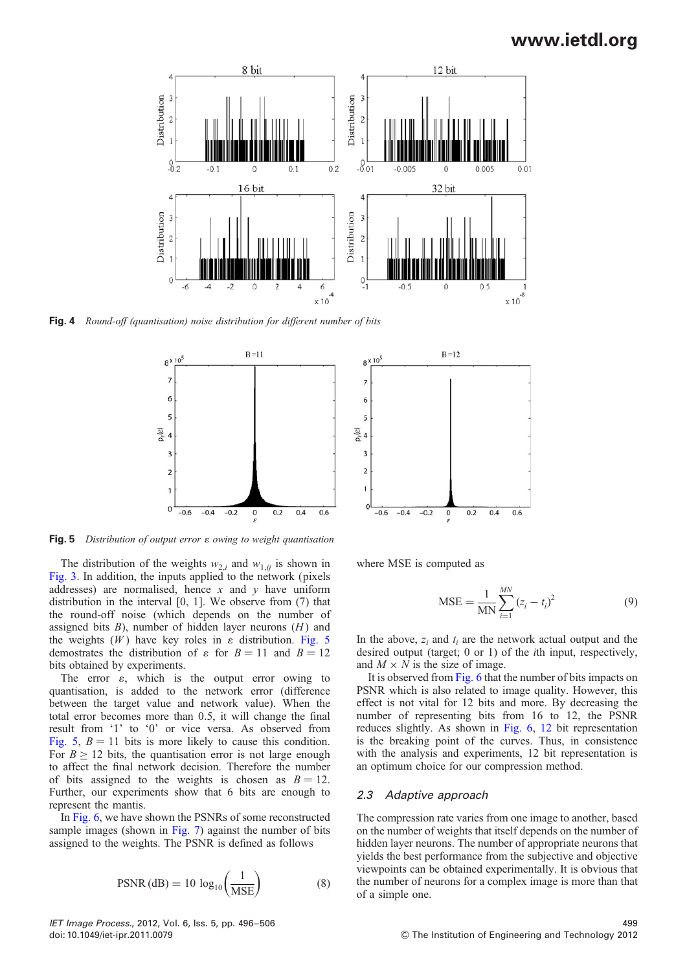

 $8 \times 10^5$ 

 $\overline{7}$ 6

5

 $-0.6$ 

 $-0.4$  $-0.2$  $\mathbf 0$ 

 $p_{\epsilon}(\epsilon)$  $\overline{3}$  $\overline{a}$  $\overline{1}$  $\Omega$ 

Fig. 4 Round-off (quantisation) noise distribution for different number of bits



Fig. 5 Distribution of output error  $\varepsilon$  owing to weight quantisation

The distribution of the weights  $w_{2,i}$  and  $w_{1,ij}$  is shown in Fig. 3. In addition, the inputs applied to the network (pixels addresses) are normalised, hence x and  $\nu$  have uniform distribution in the interval [0, 1]. We observe from (7) that the round-off noise (which depends on the number of assigned bits  $B$ ), number of hidden layer neurons  $(H)$  and the weights  $(W)$  have key roles in  $\varepsilon$  distribution. Fig. 5 demostrates the distribution of  $\varepsilon$  for  $B = 11$  and  $B = 12$ bits obtained by experiments.

The error  $\varepsilon$ , which is the output error owing to quantisation, is added to the network error (difference between the target value and network value). When the total error becomes more than 0.5, it will change the final result from '1' to '0' or vice versa. As observed from Fig. 5,  $B = 11$  bits is more likely to cause this condition. For  $B > 12$  bits, the quantisation error is not large enough to affect the final network decision. Therefore the number of bits assigned to the weights is chosen as  $B = 12$ . Further, our experiments show that 6 bits are enough to represent the mantis.

In Fig. 6, we have shown the PSNRs of some reconstructed sample images (shown in Fig. 7) against the number of bits assigned to the weights. The PSNR is defined as follows

$$
PSNR (dB) = 10 \log_{10} \left( \frac{1}{MSE} \right)
$$
 (8)

where MSE is computed as

 $R=12$ 

$$
MSE = \frac{1}{MN} \sum_{i=1}^{MN} (z_i - t_i)^2
$$
 (9)

 $0.6$ 

 $0.2$  $0.4$ 

In the above,  $z_i$  and  $t_i$  are the network actual output and the desired output (target; 0 or 1) of the ith input, respectively, and  $M \times N$  is the size of image.

It is observed from Fig. 6 that the number of bits impacts on PSNR which is also related to image quality. However, this effect is not vital for 12 bits and more. By decreasing the number of representing bits from 16 to 12, the PSNR reduces slightly. As shown in Fig. 6, 12 bit representation is the breaking point of the curves. Thus, in consistence with the analysis and experiments, 12 bit representation is an optimum choice for our compression method.

#### 2.3 Adaptive approach

The compression rate varies from one image to another, based on the number of weights that itself depends on the number of hidden layer neurons. The number of appropriate neurons that yields the best performance from the subjective and objective viewpoints can be obtained experimentally. It is obvious that the number of neurons for a complex image is more than that of a simple one.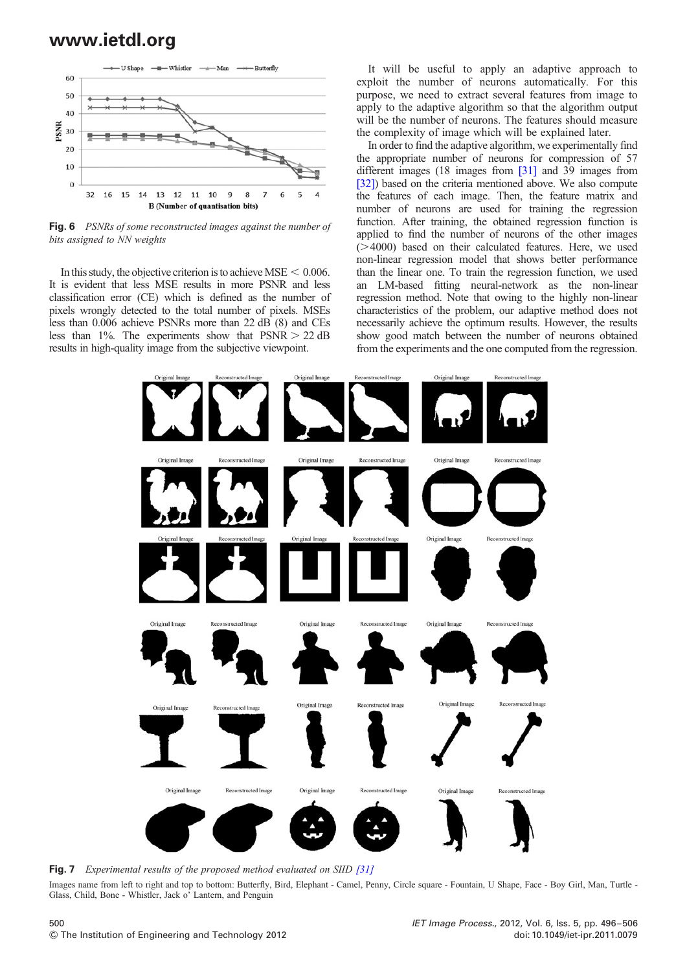

Fig. 6 PSNRs of some reconstructed images against the number of bits assigned to NN weights

In this study, the objective criterion is to achieve MSE  $< 0.006$ . It is evident that less MSE results in more PSNR and less classification error (CE) which is defined as the number of pixels wrongly detected to the total number of pixels. MSEs less than 0.006 achieve PSNRs more than 22 dB (8) and CEs less than 1%. The experiments show that  $PSNR > 22$  dB results in high-quality image from the subjective viewpoint.

It will be useful to apply an adaptive approach to exploit the number of neurons automatically. For this purpose, we need to extract several features from image to apply to the adaptive algorithm so that the algorithm output will be the number of neurons. The features should measure the complexity of image which will be explained later.

In order to find the adaptive algorithm, we experimentally find the appropriate number of neurons for compression of 57 different images (18 images from [31] and 39 images from [32]) based on the criteria mentioned above. We also compute the features of each image. Then, the feature matrix and number of neurons are used for training the regression function. After training, the obtained regression function is applied to find the number of neurons of the other images  $($ >4000) based on their calculated features. Here, we used non-linear regression model that shows better performance than the linear one. To train the regression function, we used an LM-based fitting neural-network as the non-linear regression method. Note that owing to the highly non-linear characteristics of the problem, our adaptive method does not necessarily achieve the optimum results. However, the results show good match between the number of neurons obtained from the experiments and the one computed from the regression.



Fig. 7 Experimental results of the proposed method evaluated on SIID [31]

Images name from left to right and top to bottom: Butterfly, Bird, Elephant - Camel, Penny, Circle square - Fountain, U Shape, Face - Boy Girl, Man, Turtle - Glass, Child, Bone - Whistler, Jack o' Lantern, and Penguin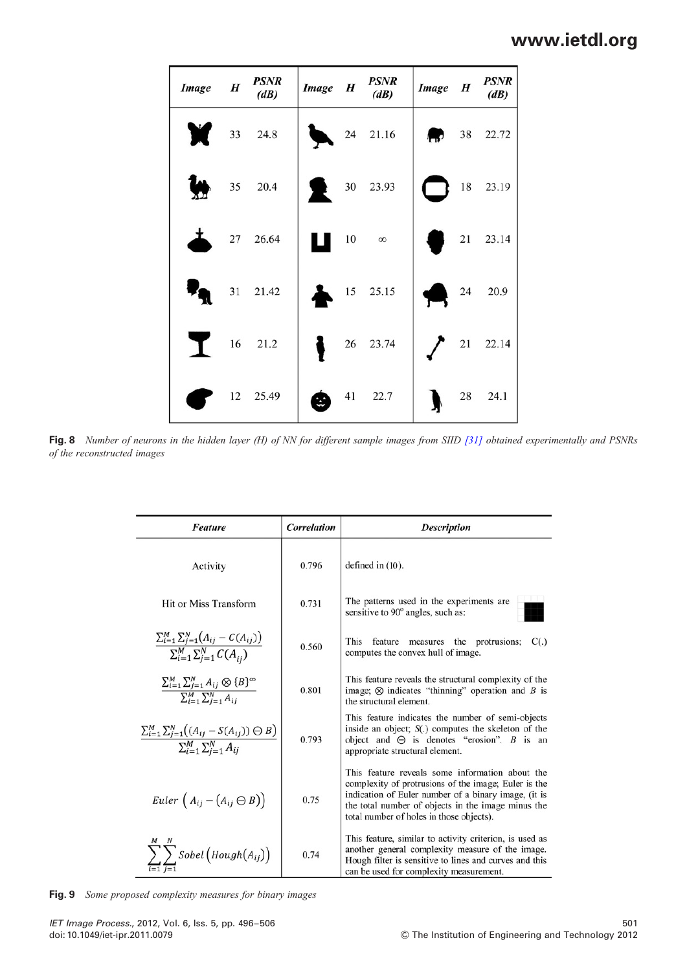| Image H | <b>PSNR</b><br>(dB) | Image H | <b>PSNR</b><br>(dB) | Image H | <b>PSNR</b><br>(dB) |
|---------|---------------------|---------|---------------------|---------|---------------------|
| T.      | 33 24.8             |         | 24 21.16            |         | $38$ 22.72          |
|         | 35 20.4             |         | 30 23.93            |         | 18 23.19            |
|         | 27 26.64            |         | $10 \infty$         |         | 21 23.14            |
|         | 31 21.42            |         | 15 25.15            |         | 24 20.9             |
| I       | 16 21.2             |         | 26 23.74            |         | 21 22.14            |
|         | 12 25.49            |         | 41 22.7             |         | 28 24.1             |

Fig. 8 Number of neurons in the hidden layer (H) of NN for different sample images from SIID [31] obtained experimentally and PSNRs of the reconstructed images

| <b>Feature</b>                                                                                                | Correlation | <b>Description</b>                                                                                                                                                                                                                                                |
|---------------------------------------------------------------------------------------------------------------|-------------|-------------------------------------------------------------------------------------------------------------------------------------------------------------------------------------------------------------------------------------------------------------------|
| Activity                                                                                                      | 0.796       | defined in $(10)$ .                                                                                                                                                                                                                                               |
| Hit or Miss Transform                                                                                         | 0.731       | The patterns used in the experiments are<br>sensitive to 90° angles, such as:                                                                                                                                                                                     |
| $\frac{\sum_{i=1}^{M}\sum_{j=1}^{N}\big(A_{ij}-C(A_{ij})\big)}{\sum_{i=1}^{M}\sum_{j=1}^{N}C(A_{ij})}$        | 0.560       | This<br>feature<br>measures the protrusions;<br>C(.)<br>computes the convex hull of image.                                                                                                                                                                        |
| $\frac{\sum_{i=1}^{M} \sum_{j=1}^{N} A_{ij} \otimes {B}^{\infty}}{\sum_{i=1}^{M} \sum_{j=1}^{N} A_{ij}}$      | 0.801       | This feature reveals the structural complexity of the<br>image; $\otimes$ indicates "thinning" operation and B is<br>the structural element.                                                                                                                      |
| $\frac{\sum_{i=1}^{M} \sum_{j=1}^{N} ((A_{ij} - S(A_{ij})) \ominus B)}{\sum_{i=1}^{M} \sum_{j=1}^{N} A_{ij}}$ | 0.793       | This feature indicates the number of semi-objects<br>inside an object; $S(.)$ computes the skeleton of the<br>object and $\Theta$ is denotes "erosion". B is an<br>appropriate structural element.                                                                |
| Euler $(A_{ij} - (A_{ij} \ominus B))$                                                                         | 0.75        | This feature reveals some information about the<br>complexity of protrusions of the image; Euler is the<br>indication of Euler number of a binary image, (it is<br>the total number of objects in the image minus the<br>total number of holes in those objects). |
| $\sum\sum$ Sobel $\left($ Hough $\left( A_{ij}\right) \right)$                                                | 0.74        | This feature, similar to activity criterion, is used as<br>another general complexity measure of the image.<br>Hough filter is sensitive to lines and curves and this<br>can be used for complexity measurement.                                                  |

Fig. 9 Some proposed complexity measures for binary images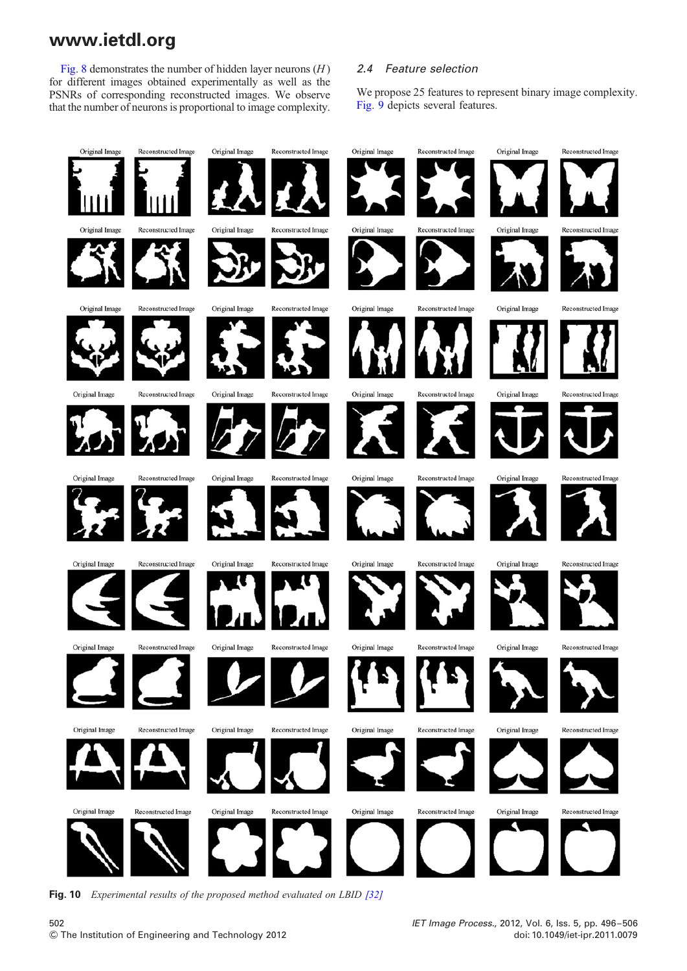Fig. 8 demonstrates the number of hidden layer neurons  $(H)$ for different images obtained experimentally as well as the PSNRs of corresponding reconstructed images. We observe that the number of neurons is proportional to image complexity.

### 2.4 Feature selection

We propose 25 features to represent binary image complexity. Fig. 9 depicts several features.



Fig. 10 Experimental results of the proposed method evaluated on LBID [32]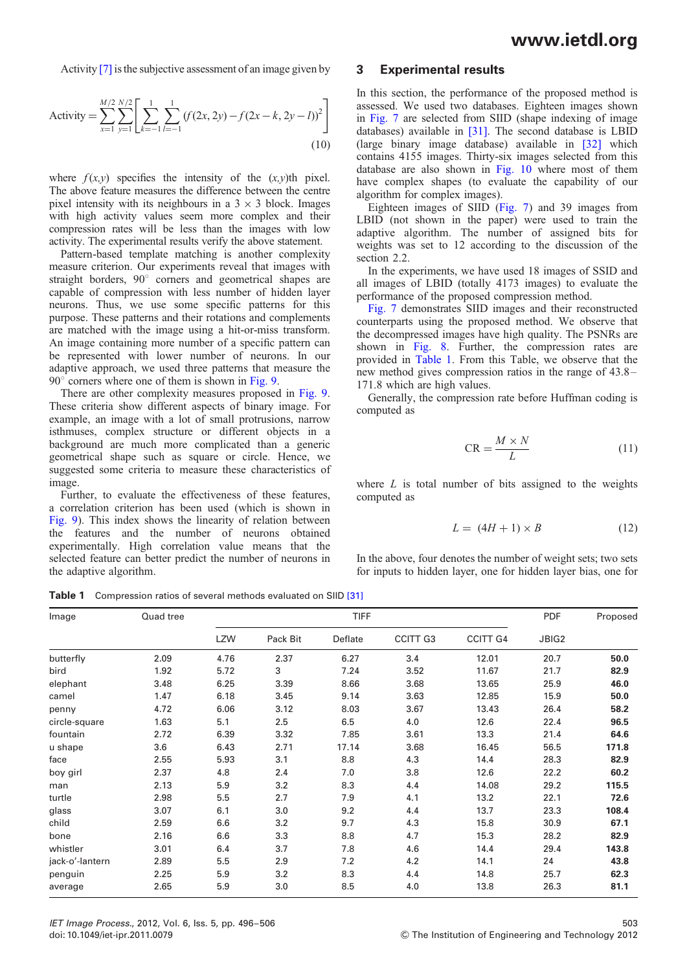Activity [7] is the subjective assessment of an image given by

Activity = 
$$
\sum_{x=1}^{M/2} \sum_{y=1}^{N/2} \left[ \sum_{k=-1}^{1} \sum_{l=-1}^{1} (f(2x, 2y) - f(2x - k, 2y - l))^2 \right]
$$
(10)

where  $f(x,y)$  specifies the intensity of the  $(x,y)$ <sup>th</sup> pixel. The above feature measures the difference between the centre pixel intensity with its neighbours in a  $3 \times 3$  block. Images with high activity values seem more complex and their compression rates will be less than the images with low activity. The experimental results verify the above statement.

Pattern-based template matching is another complexity measure criterion. Our experiments reveal that images with straight borders, 90° corners and geometrical shapes are capable of compression with less number of hidden layer neurons. Thus, we use some specific patterns for this purpose. These patterns and their rotations and complements are matched with the image using a hit-or-miss transform. An image containing more number of a specific pattern can be represented with lower number of neurons. In our adaptive approach, we used three patterns that measure the  $90^\circ$  corners where one of them is shown in Fig. 9.

There are other complexity measures proposed in Fig. 9. These criteria show different aspects of binary image. For example, an image with a lot of small protrusions, narrow isthmuses, complex structure or different objects in a background are much more complicated than a generic geometrical shape such as square or circle. Hence, we suggested some criteria to measure these characteristics of image.

Further, to evaluate the effectiveness of these features, a correlation criterion has been used (which is shown in Fig. 9). This index shows the linearity of relation between the features and the number of neurons obtained experimentally. High correlation value means that the selected feature can better predict the number of neurons in the adaptive algorithm.

### 3 Experimental results

In this section, the performance of the proposed method is assessed. We used two databases. Eighteen images shown in Fig. 7 are selected from SIID (shape indexing of image databases) available in [31]. The second database is LBID (large binary image database) available in [32] which contains 4155 images. Thirty-six images selected from this database are also shown in Fig. 10 where most of them have complex shapes (to evaluate the capability of our algorithm for complex images).

Eighteen images of SIID (Fig. 7) and 39 images from LBID (not shown in the paper) were used to train the adaptive algorithm. The number of assigned bits for weights was set to 12 according to the discussion of the section 2.2.

In the experiments, we have used 18 images of SSID and all images of LBID (totally 4173 images) to evaluate the performance of the proposed compression method.

Fig. 7 demonstrates SIID images and their reconstructed counterparts using the proposed method. We observe that the decompressed images have high quality. The PSNRs are shown in Fig. 8. Further, the compression rates are provided in Table 1. From this Table, we observe that the new method gives compression ratios in the range of 43.8 – 171.8 which are high values.

Generally, the compression rate before Huffman coding is computed as

$$
CR = \frac{M \times N}{L} \tag{11}
$$

where  $L$  is total number of bits assigned to the weights computed as

$$
L = (4H + 1) \times B \tag{12}
$$

In the above, four denotes the number of weight sets; two sets for inputs to hidden layer, one for hidden layer bias, one for

Table 1 Compression ratios of several methods evaluated on SIID [31]

| Image           | Quad tree |            |          |         | <b>PDF</b>      | Proposed        |       |       |
|-----------------|-----------|------------|----------|---------|-----------------|-----------------|-------|-------|
|                 |           | <b>LZW</b> | Pack Bit | Deflate | <b>CCITT G3</b> | <b>CCITT G4</b> | JBIG2 |       |
| butterfly       | 2.09      | 4.76       | 2.37     | 6.27    | 3.4             | 12.01           | 20.7  | 50.0  |
| bird            | 1.92      | 5.72       | 3        | 7.24    | 3.52            | 11.67           | 21.7  | 82.9  |
| elephant        | 3.48      | 6.25       | 3.39     | 8.66    | 3.68            | 13.65           | 25.9  | 46.0  |
| camel           | 1.47      | 6.18       | 3.45     | 9.14    | 3.63            | 12.85           | 15.9  | 50.0  |
| penny           | 4.72      | 6.06       | 3.12     | 8.03    | 3.67            | 13.43           | 26.4  | 58.2  |
| circle-square   | 1.63      | 5.1        | 2.5      | 6.5     | 4.0             | 12.6            | 22.4  | 96.5  |
| fountain        | 2.72      | 6.39       | 3.32     | 7.85    | 3.61            | 13.3            | 21.4  | 64.6  |
| u shape         | 3.6       | 6.43       | 2.71     | 17.14   | 3.68            | 16.45           | 56.5  | 171.8 |
| face            | 2.55      | 5.93       | 3.1      | 8.8     | 4.3             | 14.4            | 28.3  | 82.9  |
| boy girl        | 2.37      | 4.8        | 2.4      | 7.0     | 3.8             | 12.6            | 22.2  | 60.2  |
| man             | 2.13      | 5.9        | 3.2      | 8.3     | 4.4             | 14.08           | 29.2  | 115.5 |
| turtle          | 2.98      | 5.5        | 2.7      | 7.9     | 4.1             | 13.2            | 22.1  | 72.6  |
| glass           | 3.07      | 6.1        | 3.0      | 9.2     | 4.4             | 13.7            | 23.3  | 108.4 |
| child           | 2.59      | 6.6        | 3.2      | 9.7     | 4.3             | 15.8            | 30.9  | 67.1  |
| bone            | 2.16      | 6.6        | 3.3      | 8.8     | 4.7             | 15.3            | 28.2  | 82.9  |
| whistler        | 3.01      | 6.4        | 3.7      | 7.8     | 4.6             | 14.4            | 29.4  | 143.8 |
| jack-o'-lantern | 2.89      | 5.5        | 2.9      | 7.2     | 4.2             | 14.1            | 24    | 43.8  |
| penguin         | 2.25      | 5.9        | 3.2      | 8.3     | 4.4             | 14.8            | 25.7  | 62.3  |
| average         | 2.65      | 5.9        | 3.0      | 8.5     | 4.0             | 13.8            | 26.3  | 81.1  |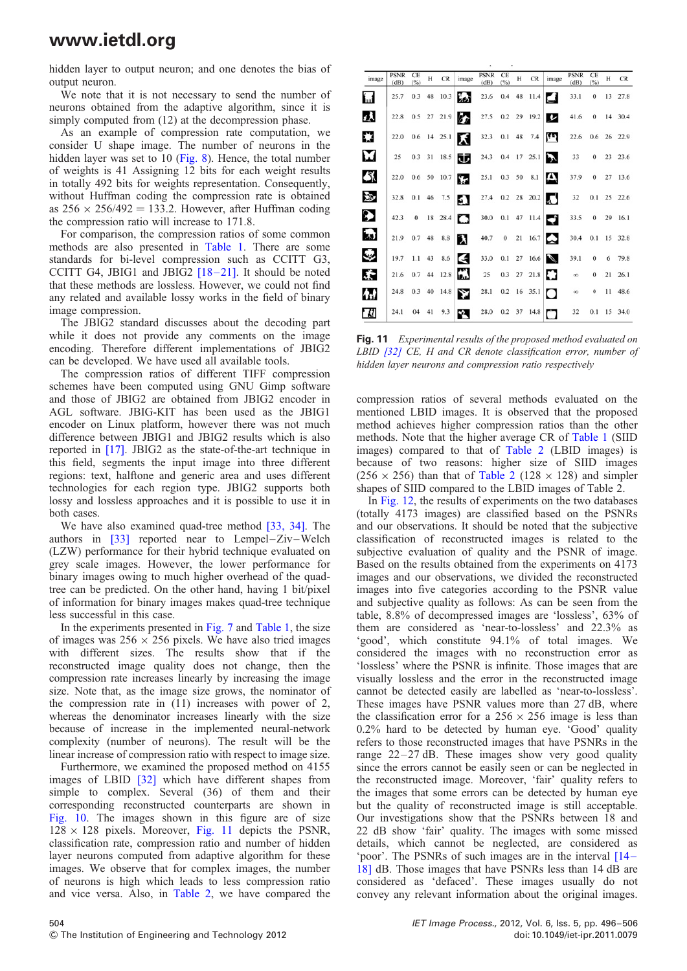hidden layer to output neuron; and one denotes the bias of output neuron.

We note that it is not necessary to send the number of neurons obtained from the adaptive algorithm, since it is simply computed from (12) at the decompression phase.

As an example of compression rate computation, we consider U shape image. The number of neurons in the hidden layer was set to 10 (Fig. 8). Hence, the total number of weights is 41 Assigning 12 bits for each weight results in totally 492 bits for weights representation. Consequently, without Huffman coding the compression rate is obtained as  $256 \times 256/492 = 133.2$ . However, after Huffman coding the compression ratio will increase to 171.8.

For comparison, the compression ratios of some common methods are also presented in Table 1. There are some standards for bi-level compression such as CCITT G3, CCITT G4, JBIG1 and JBIG2  $[18-21]$ . It should be noted that these methods are lossless. However, we could not find any related and available lossy works in the field of binary image compression.

The JBIG2 standard discusses about the decoding part while it does not provide any comments on the image encoding. Therefore different implementations of JBIG2 can be developed. We have used all available tools.

The compression ratios of different TIFF compression schemes have been computed using GNU Gimp software and those of JBIG2 are obtained from JBIG2 encoder in AGL software. JBIG-KIT has been used as the JBIG1 encoder on Linux platform, however there was not much difference between JBIG1 and JBIG2 results which is also reported in [17]. JBIG2 as the state-of-the-art technique in this field, segments the input image into three different regions: text, halftone and generic area and uses different technologies for each region type. JBIG2 supports both lossy and lossless approaches and it is possible to use it in both cases.

We have also examined quad-tree method [33, 34]. The authors in  $\begin{bmatrix} 33 \end{bmatrix}$  reported near to Lempel–Ziv–Welch (LZW) performance for their hybrid technique evaluated on grey scale images. However, the lower performance for binary images owing to much higher overhead of the quadtree can be predicted. On the other hand, having 1 bit/pixel of information for binary images makes quad-tree technique less successful in this case.

In the experiments presented in Fig. 7 and Table 1, the size of images was  $256 \times 256$  pixels. We have also tried images with different sizes. The results show that if the reconstructed image quality does not change, then the compression rate increases linearly by increasing the image size. Note that, as the image size grows, the nominator of the compression rate in  $(11)$  increases with power of 2, whereas the denominator increases linearly with the size because of increase in the implemented neural-network complexity (number of neurons). The result will be the linear increase of compression ratio with respect to image size.

Furthermore, we examined the proposed method on 4155 images of LBID [32] which have different shapes from simple to complex. Several (36) of them and their corresponding reconstructed counterparts are shown in Fig. 10. The images shown in this figure are of size  $128 \times 128$  pixels. Moreover, Fig. 11 depicts the PSNR, classification rate, compression ratio and number of hidden layer neurons computed from adaptive algorithm for these images. We observe that for complex images, the number of neurons is high which leads to less compression ratio and vice versa. Also, in Table 2, we have compared the

| image               | <b>PSNR</b><br>(dB) | CE<br>(%) | Н  | CR            | image | <b>PSNR</b><br>(dB) | CE<br>(%) | н | <b>CR</b>     | image                   | <b>PSNR</b><br>(dB) | CE<br>(%)        | н  | CR      |
|---------------------|---------------------|-----------|----|---------------|-------|---------------------|-----------|---|---------------|-------------------------|---------------------|------------------|----|---------|
| i <sub>m</sub> f    | 25.7                | 0.3       | 48 | 10.3          | Ъò    | 23.6                |           |   | 0.4 48 11.4   | ఆ                       | 33.1                | 0                | 13 | 27.8    |
| ŧλ                  | 22.8                |           |    | 0.5 27 21.9   | b)    | 27.5                |           |   | $0.2$ 29 19.2 | $\overline{\mathbf{v}}$ | 41.6                | $\mathbf{0}$     |    | 14 30.4 |
| E.                  | 22.0                |           |    | $0.6$ 14 25.1 | κ     | 32.3                | 0.1 48    |   | 7.4           | ŢΠ,                     | 22.6                | 0.6              |    | 26 22.9 |
| M                   | 25                  | 0.3       | 31 | 18.5          | 巿     | 24.3                |           |   | 0.4 17 25.1   | $\boldsymbol{\lambda}$  | 33                  | $\mathbf{0}$     |    | 23 23.6 |
| 祭                   | 22.0                | $0.6$ 50  |    | 10.7          | Ţ.    | 25.1                | 0.3 50    |   | 8.1           | д                       | 37.9                | 0                |    | 27 13.6 |
| 沙                   | 32.8                | 0.1       | 46 | 7.5           | á.    | 27.4                |           |   | $0.2$ 28 20.2 | IJ                      | 32                  | 0.1              |    | 25 22.6 |
| P)                  | 42.3                | $\bf{0}$  |    | 18 28.4       | O     | 30.0                |           |   | 0.1 47 11.4   | Ç                       | 33.5                | $\bf{0}$         |    | 29 16.1 |
| $\mathbf{z}$        | 21.9                | 0.7       | 48 | 8.8           | λ     | 40.7                | $\bf{0}$  |   | 21 16.7       | $\sim$                  | 30.4                | 0.1              |    | 15 32.8 |
| $\mathcal{L}_{\mu}$ | 19.7                | 1.1       | 43 | 8.6           | К     | 33.0                | 0.1       |   | $27 \t16.6$   |                         | 39.1                | $\bf{0}$         |    | 6 79.8  |
| 赤                   | 21.6                | 0.7       |    | 44 12.8       | ő.    | 25                  |           |   | 0.3 27 21.8   | E.                      | $\infty$            | $\bf{0}$         |    | 21 26.1 |
| 材                   | 24.8                | 0.3       | 40 | 14.8          | Y     | 28.1                |           |   | 0.2 16 35.1   | Ω                       | $\infty$            | $\boldsymbol{0}$ |    | 11 48.6 |
| W                   | 24.1                | 04        | 41 | 9.3           | Ÿ.    | 28.0                |           |   | $0.2$ 37 14.8 | n                       | 32                  | 0.1              |    | 15 34.0 |

Fig. 11 Experimental results of the proposed method evaluated on LBID  $[32]$  CE, H and CR denote classification error, number of hidden layer neurons and compression ratio respectively

compression ratios of several methods evaluated on the mentioned LBID images. It is observed that the proposed method achieves higher compression ratios than the other methods. Note that the higher average CR of Table 1 (SIID images) compared to that of Table 2 (LBID images) is because of two reasons: higher size of SIID images  $(256 \times 256)$  than that of Table 2 (128  $\times$  128) and simpler shapes of SIID compared to the LBID images of Table 2.

In Fig. 12, the results of experiments on the two databases (totally 4173 images) are classified based on the PSNRs and our observations. It should be noted that the subjective classification of reconstructed images is related to the subjective evaluation of quality and the PSNR of image. Based on the results obtained from the experiments on 4173 images and our observations, we divided the reconstructed images into five categories according to the PSNR value and subjective quality as follows: As can be seen from the table, 8.8% of decompressed images are 'lossless', 63% of them are considered as 'near-to-lossless' and 22.3% as 'good', which constitute 94.1% of total images. We considered the images with no reconstruction error as 'lossless' where the PSNR is infinite. Those images that are visually lossless and the error in the reconstructed image cannot be detected easily are labelled as 'near-to-lossless'. These images have PSNR values more than 27 dB, where the classification error for a  $256 \times 256$  image is less than 0.2% hard to be detected by human eye. 'Good' quality refers to those reconstructed images that have PSNRs in the range  $22-27$  dB. These images show very good quality since the errors cannot be easily seen or can be neglected in the reconstructed image. Moreover, 'fair' quality refers to the images that some errors can be detected by human eye but the quality of reconstructed image is still acceptable. Our investigations show that the PSNRs between 18 and 22 dB show 'fair' quality. The images with some missed details, which cannot be neglected, are considered as 'poor'. The PSNRs of such images are in the interval [14 – 18] dB. Those images that have PSNRs less than 14 dB are considered as 'defaced'. These images usually do not convey any relevant information about the original images.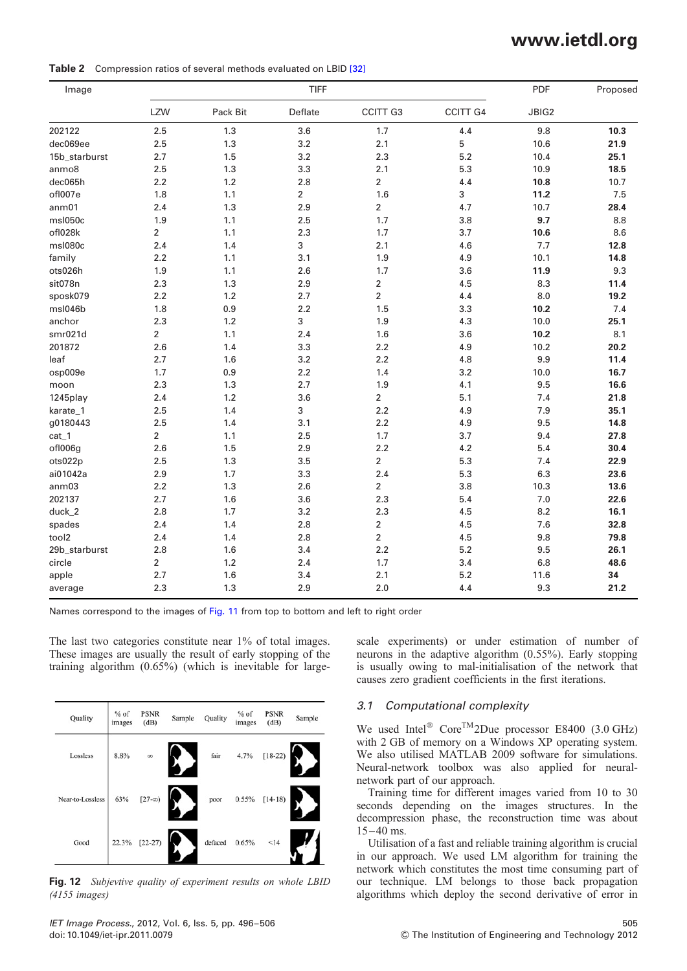Table 2 Compression ratios of several methods evaluated on LBID [32]

| Image             |                |          | PDF            | Proposed                |                 |       |      |
|-------------------|----------------|----------|----------------|-------------------------|-----------------|-------|------|
|                   | LZW            | Pack Bit | Deflate        | CCITT G3                | <b>CCITT G4</b> | JBIG2 |      |
| 202122            | 2.5            | 1.3      | 3.6            | 1.7                     | 4.4             | 9.8   | 10.3 |
| dec069ee          | 2.5            | 1.3      | 3.2            | 2.1                     | 5               | 10.6  | 21.9 |
| 15b_starburst     | 2.7            | 1.5      | 3.2            | 2.3                     | 5.2             | 10.4  | 25.1 |
| anmo8             | 2.5            | 1.3      | 3.3            | 2.1                     | 5.3             | 10.9  | 18.5 |
| dec065h           | 2.2            | 1.2      | 2.8            | $\overline{2}$          | 4.4             | 10.8  | 10.7 |
| ofl007e           | 1.8            | 1.1      | $\overline{2}$ | 1.6                     | 3               | 11.2  | 7.5  |
| ann01             | 2.4            | 1.3      | 2.9            | 2                       | 4.7             | 10.7  | 28.4 |
| msl050c           | 1.9            | 1.1      | 2.5            | 1.7                     | 3.8             | 9.7   | 8.8  |
| ofl028k           | $\overline{2}$ | 1.1      | 2.3            | 1.7                     | 3.7             | 10.6  | 8.6  |
| msl080c           | 2.4            | 1.4      | 3              | 2.1                     | 4.6             | 7.7   | 12.8 |
| family            | 2.2            | 1.1      | 3.1            | 1.9                     | 4.9             | 10.1  | 14.8 |
| ots026h           | 1.9            | 1.1      | 2.6            | 1.7                     | 3.6             | 11.9  | 9.3  |
| sit078n           | 2.3            | 1.3      | 2.9            | 2                       | 4.5             | 8.3   | 11.4 |
| sposk079          | 2.2            | 1.2      | 2.7            | 2                       | 4.4             | 8.0   | 19.2 |
| msl046b           | 1.8            | 0.9      | 2.2            | 1.5                     | 3.3             | 10.2  | 7.4  |
| anchor            | 2.3            | 1.2      | 3              | 1.9                     | 4.3             | 10.0  | 25.1 |
| smr021d           | 2              | 1.1      | 2.4            | 1.6                     | 3.6             | 10.2  | 8.1  |
| 201872            | 2.6            | 1.4      | 3.3            | 2.2                     | 4.9             | 10.2  | 20.2 |
| leaf              | 2.7            | 1.6      | 3.2            | 2.2                     | 4.8             | 9.9   | 11.4 |
| osp009e           | 1.7            | 0.9      | 2.2            | 1.4                     | 3.2             | 10.0  | 16.7 |
| moon              | 2.3            | 1.3      | 2.7            | 1.9                     | 4.1             | 9.5   | 16.6 |
| 1245play          | 2.4            | 1.2      | 3.6            | 2                       | 5.1             | 7.4   | 21.8 |
| karate_1          | 2.5            | 1.4      | 3              | 2.2                     | 4.9             | 7.9   | 35.1 |
| g0180443          | 2.5            | 1.4      | 3.1            | 2.2                     | 4.9             | 9.5   | 14.8 |
| $cat_1$           | 2              | 1.1      | 2.5            | 1.7                     | 3.7             | 9.4   | 27.8 |
| ofl006g           | 2.6            | 1.5      | 2.9            | 2.2                     | 4.2             | 5.4   | 30.4 |
| ots022p           | 2.5            | 1.3      | 3.5            | 2                       | 5.3             | 7.4   | 22.9 |
| ai01042a          | 2.9            | 1.7      | 3.3            | 2.4                     | 5.3             | 6.3   | 23.6 |
| anm <sub>03</sub> | 2.2            | 1.3      | 2.6            | 2                       | 3.8             | 10.3  | 13.6 |
| 202137            | 2.7            | 1.6      | 3.6            | 2.3                     | 5.4             | 7.0   | 22.6 |
| duck_2            | 2.8            | 1.7      | 3.2            | 2.3                     | 4.5             | 8.2   | 16.1 |
| spades            | 2.4            | 1.4      | 2.8            | $\overline{\mathbf{c}}$ | 4.5             | 7.6   | 32.8 |
| tool2             | 2.4            | 1.4      | 2.8            | $\overline{2}$          | 4.5             | 9.8   | 79.8 |
| 29b_starburst     | 2.8            | 1.6      | 3.4            | 2.2                     | 5.2             | 9.5   | 26.1 |
| circle            | $\overline{2}$ | 1.2      | 2.4            | 1.7                     | 3.4             | 6.8   | 48.6 |
| apple             | 2.7            | 1.6      | 3.4            | 2.1                     | 5.2             | 11.6  | 34   |
| average           | 2.3            | 1.3      | 2.9            | 2.0                     | 4.4             | 9.3   | 21.2 |

Names correspond to the images of Fig. 11 from top to bottom and left to right order

The last two categories constitute near 1% of total images. These images are usually the result of early stopping of the training algorithm (0.65%) (which is inevitable for large-

| Quality          | $%$ of<br>images | <b>PSNR</b><br>(dB) | Sample | Quality | $%$ of<br>images | <b>PSNR</b><br>(dB) | Sample |
|------------------|------------------|---------------------|--------|---------|------------------|---------------------|--------|
| Lossless         | 8.8%             | $\infty$            |        | fair    | 4.7%             | $[18-22)$           |        |
| Near-to-Lossless | 63%              | $[27-\infty)$       |        | poor    | 0.55%            | $[14-18]$           |        |
| Good             | 22.3%            | $[22-27]$           |        | defaced | 0.65%            | <14                 |        |

Fig. 12 Subjevtive quality of experiment results on whole LBID (4155 images)

scale experiments) or under estimation of number of neurons in the adaptive algorithm (0.55%). Early stopping is usually owing to mal-initialisation of the network that causes zero gradient coefficients in the first iterations.

### 3.1 Computational complexity

We used Intel<sup>®</sup> Core<sup>TM</sup>2Due processor E8400 (3.0 GHz) with 2 GB of memory on a Windows XP operating system. We also utilised MATLAB 2009 software for simulations. Neural-network toolbox was also applied for neuralnetwork part of our approach.

Training time for different images varied from 10 to 30 seconds depending on the images structures. In the decompression phase, the reconstruction time was about  $15 - 40$  ms.

Utilisation of a fast and reliable training algorithm is crucial in our approach. We used LM algorithm for training the network which constitutes the most time consuming part of our technique. LM belongs to those back propagation algorithms which deploy the second derivative of error in